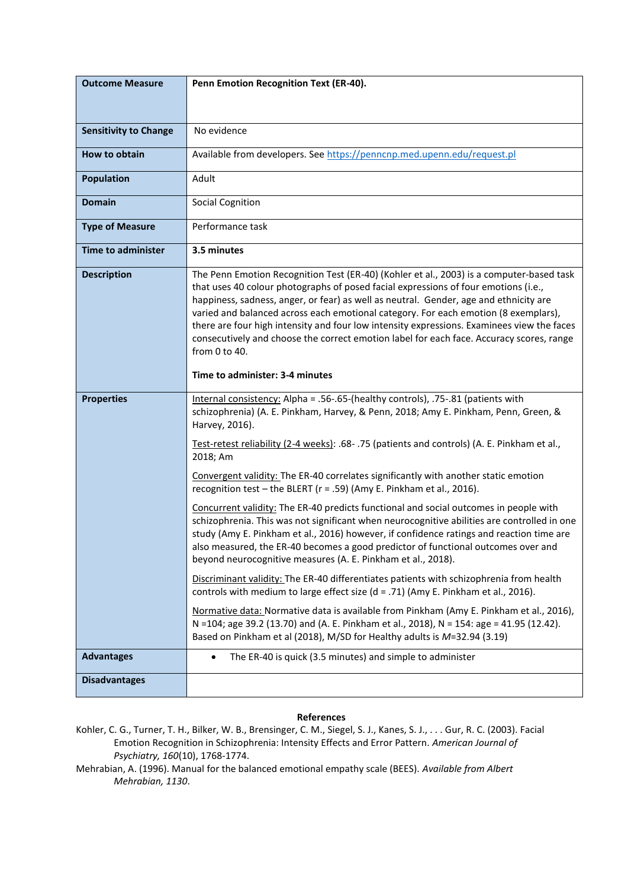| <b>Outcome Measure</b>       | Penn Emotion Recognition Text (ER-40).                                                                                                                                                                                                                                                                                                                                                                                                                                                                                                                                     |
|------------------------------|----------------------------------------------------------------------------------------------------------------------------------------------------------------------------------------------------------------------------------------------------------------------------------------------------------------------------------------------------------------------------------------------------------------------------------------------------------------------------------------------------------------------------------------------------------------------------|
| <b>Sensitivity to Change</b> | No evidence                                                                                                                                                                                                                                                                                                                                                                                                                                                                                                                                                                |
| <b>How to obtain</b>         | Available from developers. See https://penncnp.med.upenn.edu/request.pl                                                                                                                                                                                                                                                                                                                                                                                                                                                                                                    |
| <b>Population</b>            | Adult                                                                                                                                                                                                                                                                                                                                                                                                                                                                                                                                                                      |
| <b>Domain</b>                | Social Cognition                                                                                                                                                                                                                                                                                                                                                                                                                                                                                                                                                           |
| <b>Type of Measure</b>       | Performance task                                                                                                                                                                                                                                                                                                                                                                                                                                                                                                                                                           |
| <b>Time to administer</b>    | 3.5 minutes                                                                                                                                                                                                                                                                                                                                                                                                                                                                                                                                                                |
| <b>Description</b>           | The Penn Emotion Recognition Test (ER-40) (Kohler et al., 2003) is a computer-based task<br>that uses 40 colour photographs of posed facial expressions of four emotions (i.e.,<br>happiness, sadness, anger, or fear) as well as neutral. Gender, age and ethnicity are<br>varied and balanced across each emotional category. For each emotion (8 exemplars),<br>there are four high intensity and four low intensity expressions. Examinees view the faces<br>consecutively and choose the correct emotion label for each face. Accuracy scores, range<br>from 0 to 40. |
|                              | Time to administer: 3-4 minutes                                                                                                                                                                                                                                                                                                                                                                                                                                                                                                                                            |
| <b>Properties</b>            | Internal consistency: Alpha = .56-.65-(healthy controls), .75-.81 (patients with<br>schizophrenia) (A. E. Pinkham, Harvey, & Penn, 2018; Amy E. Pinkham, Penn, Green, &<br>Harvey, 2016).                                                                                                                                                                                                                                                                                                                                                                                  |
|                              | Test-retest reliability (2-4 weeks): .68- .75 (patients and controls) (A. E. Pinkham et al.,<br>2018; Am                                                                                                                                                                                                                                                                                                                                                                                                                                                                   |
|                              | Convergent validity: The ER-40 correlates significantly with another static emotion<br>recognition test - the BLERT ( $r = .59$ ) (Amy E. Pinkham et al., 2016).                                                                                                                                                                                                                                                                                                                                                                                                           |
|                              | Concurrent validity: The ER-40 predicts functional and social outcomes in people with<br>schizophrenia. This was not significant when neurocognitive abilities are controlled in one<br>study (Amy E. Pinkham et al., 2016) however, if confidence ratings and reaction time are<br>also measured, the ER-40 becomes a good predictor of functional outcomes over and<br>beyond neurocognitive measures (A. E. Pinkham et al., 2018).                                                                                                                                      |
|                              | Discriminant validity: The ER-40 differentiates patients with schizophrenia from health<br>controls with medium to large effect size $(d = .71)$ (Amy E. Pinkham et al., 2016).                                                                                                                                                                                                                                                                                                                                                                                            |
|                              | Normative data: Normative data is available from Pinkham (Amy E. Pinkham et al., 2016),<br>N =104; age 39.2 (13.70) and (A. E. Pinkham et al., 2018), N = 154: age = 41.95 (12.42).<br>Based on Pinkham et al (2018), M/SD for Healthy adults is M=32.94 (3.19)                                                                                                                                                                                                                                                                                                            |
| <b>Advantages</b>            | The ER-40 is quick (3.5 minutes) and simple to administer                                                                                                                                                                                                                                                                                                                                                                                                                                                                                                                  |
| <b>Disadvantages</b>         |                                                                                                                                                                                                                                                                                                                                                                                                                                                                                                                                                                            |

## **References**

Kohler, C. G., Turner, T. H., Bilker, W. B., Brensinger, C. M., Siegel, S. J., Kanes, S. J., . . . Gur, R. C. (2003). Facial Emotion Recognition in Schizophrenia: Intensity Effects and Error Pattern. *American Journal of Psychiatry, 160*(10), 1768-1774.

Mehrabian, A. (1996). Manual for the balanced emotional empathy scale (BEES). *Available from Albert Mehrabian, 1130*.